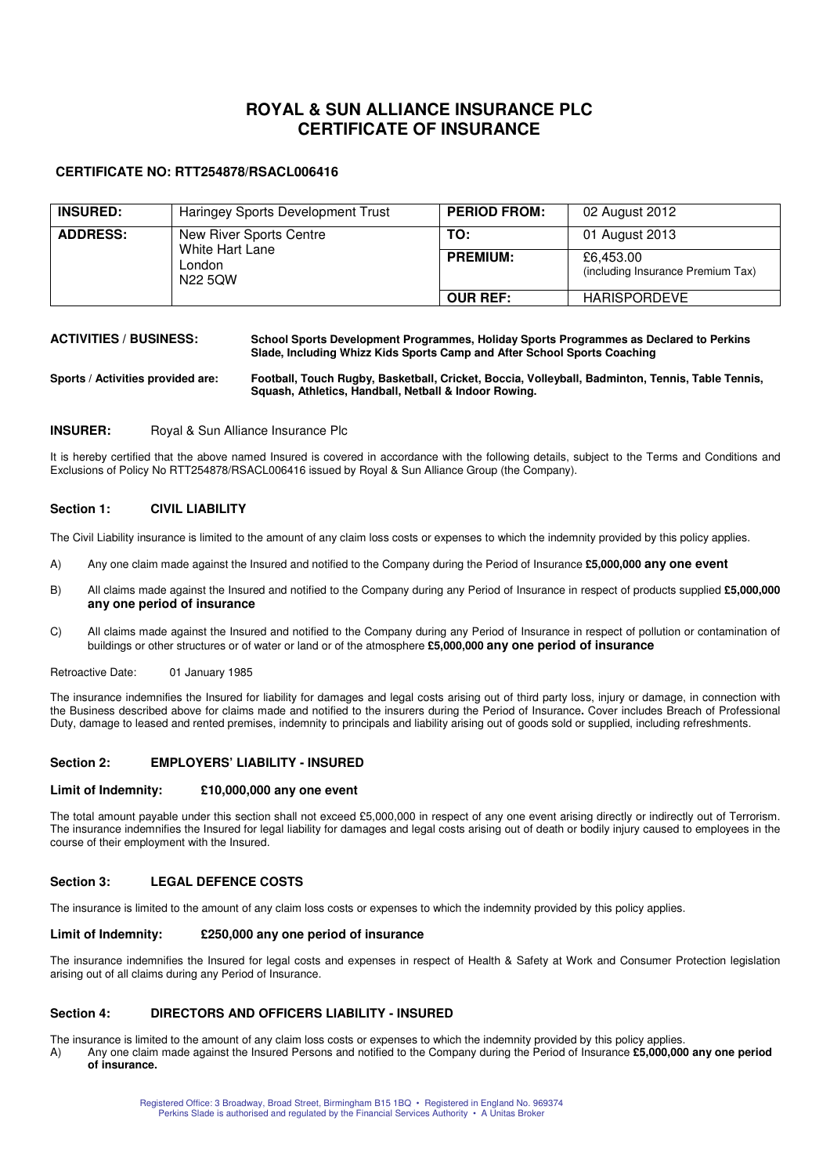# **ROYAL & SUN ALLIANCE INSURANCE PLC CERTIFICATE OF INSURANCE**

## **CERTIFICATE NO: RTT254878/RSACL006416**

| <b>INSURED:</b> | Haringey Sports Development Trust                               | <b>PERIOD FROM:</b> | 02 August 2012                                 |
|-----------------|-----------------------------------------------------------------|---------------------|------------------------------------------------|
| <b>ADDRESS:</b> | New River Sports Centre<br>White Hart Lane<br>London<br>N22 5QW | TO:                 | 01 August 2013                                 |
|                 |                                                                 | <b>PREMIUM:</b>     | £6,453.00<br>(including Insurance Premium Tax) |
|                 |                                                                 | <b>OUR REF:</b>     | <b>HARISPORDEVE</b>                            |

### **ACTIVITIES / BUSINESS: School Sports Development Programmes, Holiday Sports Programmes as Declared to Perkins Slade, Including Whizz Kids Sports Camp and After School Sports Coaching**

**Sports / Activities provided are: Football, Touch Rugby, Basketball, Cricket, Boccia, Volleyball, Badminton, Tennis, Table Tennis, Squash, Athletics, Handball, Netball & Indoor Rowing.** 

### **INSURER:** Royal & Sun Alliance Insurance Plc

It is hereby certified that the above named Insured is covered in accordance with the following details, subject to the Terms and Conditions and Exclusions of Policy No RTT254878/RSACL006416 issued by Royal & Sun Alliance Group (the Company).

### **Section 1: CIVIL LIABILITY**

The Civil Liability insurance is limited to the amount of any claim loss costs or expenses to which the indemnity provided by this policy applies.

- A) Any one claim made against the Insured and notified to the Company during the Period of Insurance **£5,000,000 any one event**
- B) All claims made against the Insured and notified to the Company during any Period of Insurance in respect of products supplied **£5,000,000 any one period of insurance**
- C) All claims made against the Insured and notified to the Company during any Period of Insurance in respect of pollution or contamination of buildings or other structures or of water or land or of the atmosphere **£5,000,000 any one period of insurance**
- Retroactive Date: 01 January 1985

The insurance indemnifies the Insured for liability for damages and legal costs arising out of third party loss, injury or damage, in connection with the Business described above for claims made and notified to the insurers during the Period of Insurance**.** Cover includes Breach of Professional Duty, damage to leased and rented premises, indemnity to principals and liability arising out of goods sold or supplied, including refreshments.

#### **Section 2: EMPLOYERS' LIABILITY - INSURED**

#### **Limit of Indemnity: £10,000,000 any one event**

The total amount payable under this section shall not exceed £5,000,000 in respect of any one event arising directly or indirectly out of Terrorism. The insurance indemnifies the Insured for legal liability for damages and legal costs arising out of death or bodily injury caused to employees in the course of their employment with the Insured.

## **Section 3: LEGAL DEFENCE COSTS**

The insurance is limited to the amount of any claim loss costs or expenses to which the indemnity provided by this policy applies.

#### **Limit of Indemnity: £250,000 any one period of insurance**

The insurance indemnifies the Insured for legal costs and expenses in respect of Health & Safety at Work and Consumer Protection legislation arising out of all claims during any Period of Insurance.

#### **Section 4: DIRECTORS AND OFFICERS LIABILITY - INSURED**

The insurance is limited to the amount of any claim loss costs or expenses to which the indemnity provided by this policy applies. A) Any one claim made against the Insured Persons and notified to the Company during the Period of Insurance **£5,000,000 any one period** 

**of insurance.**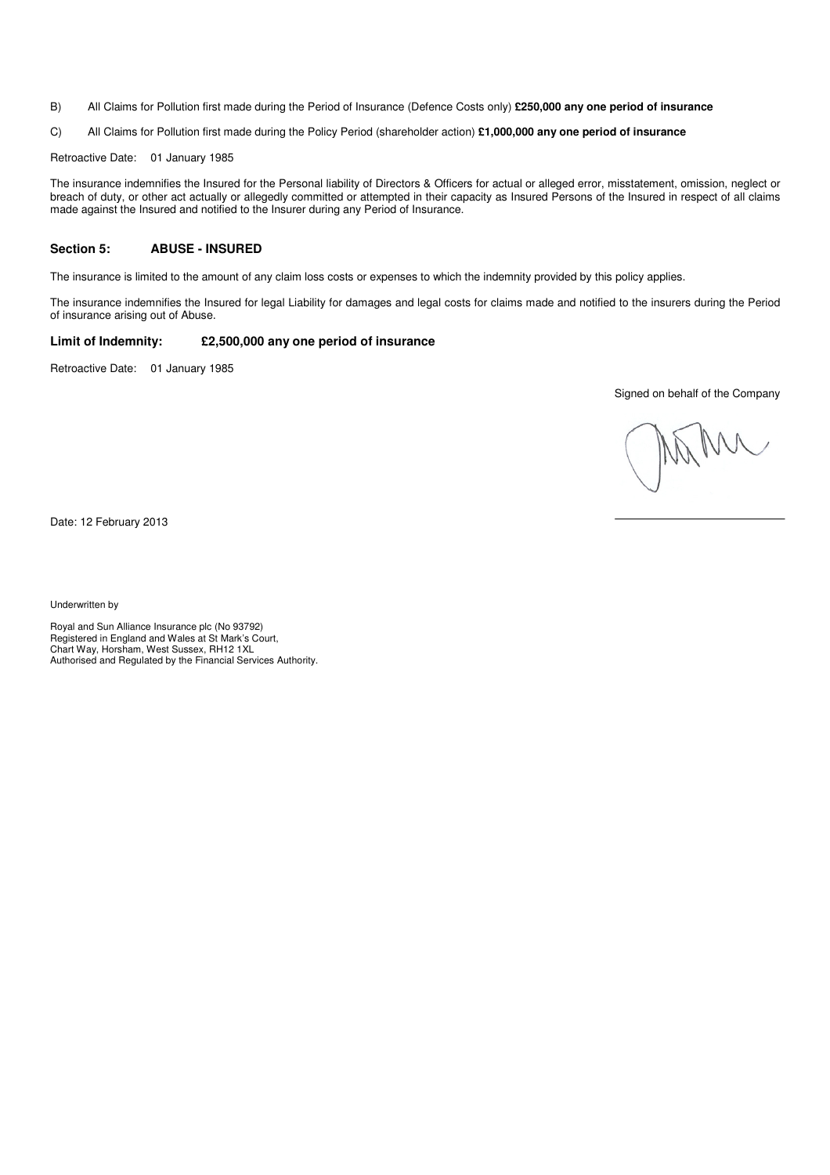B) All Claims for Pollution first made during the Period of Insurance (Defence Costs only) **£250,000 any one period of insurance**

C) All Claims for Pollution first made during the Policy Period (shareholder action) **£1,000,000 any one period of insurance** 

Retroactive Date: 01 January 1985

The insurance indemnifies the Insured for the Personal liability of Directors & Officers for actual or alleged error, misstatement, omission, neglect or breach of duty, or other act actually or allegedly committed or attempted in their capacity as Insured Persons of the Insured in respect of all claims made against the Insured and notified to the Insurer during any Period of Insurance.

#### **Section 5: ABUSE - INSURED**

The insurance is limited to the amount of any claim loss costs or expenses to which the indemnity provided by this policy applies.

The insurance indemnifies the Insured for legal Liability for damages and legal costs for claims made and notified to the insurers during the Period of insurance arising out of Abuse.

### **Limit of Indemnity: £2,500,000 any one period of insurance**

Retroactive Date: 01 January 1985

Signed on behalf of the Company

Date: 12 February 2013

Underwritten by

Royal and Sun Alliance Insurance plc (No 93792) Registered in England and Wales at St Mark's Court, Chart Way, Horsham, West Sussex, RH12 1XL Authorised and Regulated by the Financial Services Authority.